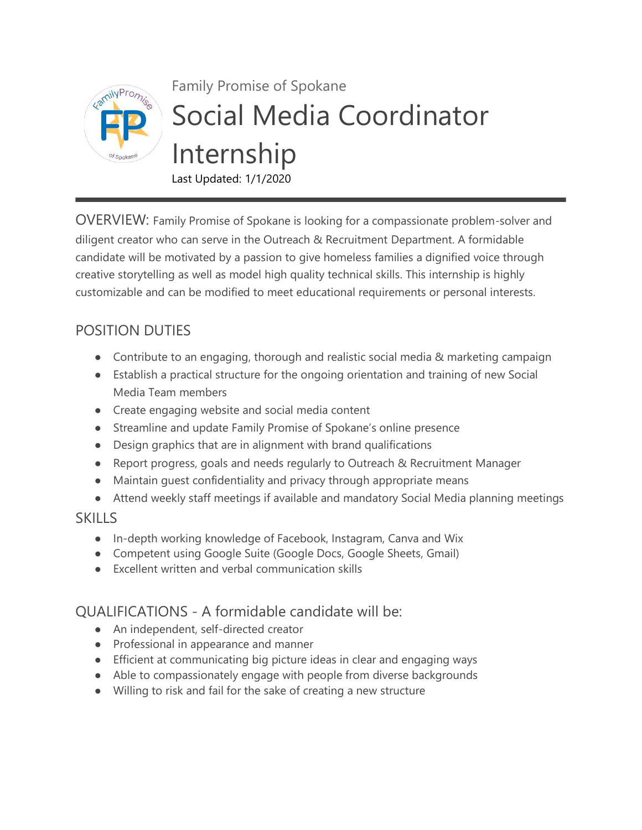

## Family Promise of Spokane Social Media Coordinator Internship Last Updated: 1/1/2020

OVERVIEW: Family Promise of Spokane is looking for a compassionate problem-solver and diligent creator who can serve in the Outreach & Recruitment Department. A formidable candidate will be motivated by a passion to give homeless families a dignified voice through creative storytelling as well as model high quality technical skills. This internship is highly customizable and can be modified to meet educational requirements or personal interests.

## POSITION DUTIES

- Contribute to an engaging, thorough and realistic social media & marketing campaign
- Establish a practical structure for the ongoing orientation and training of new Social Media Team members
- Create engaging website and social media content
- Streamline and update Family Promise of Spokane's online presence
- Design graphics that are in alignment with brand qualifications
- Report progress, goals and needs regularly to Outreach & Recruitment Manager
- Maintain guest confidentiality and privacy through appropriate means
- Attend weekly staff meetings if available and mandatory Social Media planning meetings

## **SKILLS**

- In-depth working knowledge of Facebook, Instagram, Canva and Wix
- Competent using Google Suite (Google Docs, Google Sheets, Gmail)
- Excellent written and verbal communication skills

## QUALIFICATIONS - A formidable candidate will be:

- An independent, self-directed creator
- Professional in appearance and manner
- Efficient at communicating big picture ideas in clear and engaging ways
- Able to compassionately engage with people from diverse backgrounds
- Willing to risk and fail for the sake of creating a new structure